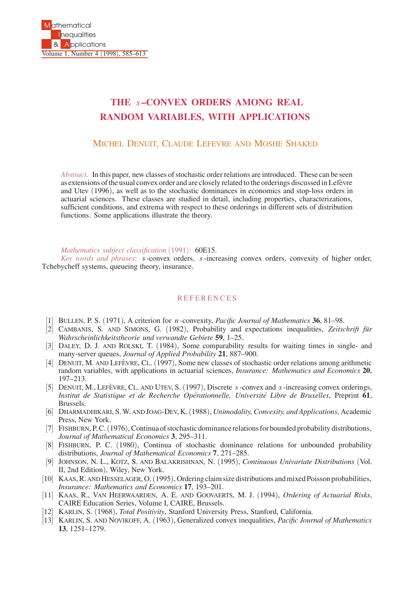## **THE** *s* **–CONVEX ORDERS AMONG REAL RANDOM VARIABLES, WITH APPLICATIONS**

## MICHEL DENUIT, CLAUDE LEFEVRE AND MOSHE SHAKED

*Abstract.* In this paper, new classes of stochastic order relations are introduced. These can be seen as extensions of the usual convex order and are closely related to the orderings discussed in Lefèvre and Utev (1996), as well as to the stochastic dominances in economics and stop-loss orders in actuarial sciences. These classes are studied in detail, including properties, characterizations, sufficient conditions, and extrema with respect to these orderings in different sets of distribution functions. Some applications illustrate the theory.

*Mathematics subject classification* (1991): 60E15.

*Key words and phrases*: *s*-convex orders, *s*-increasing convex orders, convexity of higher order, Tchebycheff systems, queueing theory, insurance.

## **REFERENCES**

- [1] BULLEN, P. S. (1971), A criterion for *n* -convexity, *Pacific Journal of Mathematics* **36**, 81–98.
- [2] CAMBANIS, S. AND SIMONS, G. (1982), Probability and expectations inequalities, Zeitschrift für *Wahrscheinlichkeitstheorie und verwandte Gebiete* **59**, 1–25.
- [3] DALEY, D. J. AND ROLSKI, T. (1984), Some comparability results for waiting times in single- and many-server queues, *Journal of Applied Probability* **21**, 887–900.
- [4] DENUIT, M. AND LEFÈVRE, CL. (1997), Some new classes of stochastic order relations among arithmetic random variables, with applications in actuarial sciences, *Insurance: Mathematics and Economics* **20**, 197–213.
- [5] DENUIT, M., LEFEVRE, CL. AND UTEV, S. (1997), Discrete *s*-convex and *s*-increasing convex orderings, *Institut de Statistique et de Recherche Operationnelle, Universit ´ e Libre de Bruxelles ´* , Preprint **61**, Brussels.
- [6] DHARMADHIKARI, S.W. AND JOAG-DEV, K.(1988), *Unimodality, Convexity, and Applications*, Academic Press, New York.
- [7] FISHBURN, P. C. (1976), Continua of stochastic dominance relations for bounded probability distributions, *Journal of Mathematical Economics* **3**, 295–311.
- [8] FISHBURN, P. C. (1980), Continua of stochastic dominance relations for unbounded probability distributions, *Journal of Mathematical Economics* **7**, 271–285.
- [9] JOHNSON, N. L., KOTZ, S. AND BALAKRISHNAN, N. (1995), *Continuous Univariate Distributions* (Vol. II, 2nd Edition), Wiley, New York.
- [10] KAAS, R. AND HESSELAGER, O.(1995), Ordering claim size distributions and mixed Poisson probabilities, *Insurance: Mathematics and Economics* **17**, 193–201.
- [11] KAAS, R., VAN HEERWAARDEN, A. E. AND GOOVAERTS, M. J. (1994), *Ordering of Actuarial Risks*, CAIRE Education Series, Volume I, CAIRE, Brussels.
- [12] KARLIN, S. (1968), *Total Positivity*, Stanford University Press, Stanford, California.
- [13] KARLIN, S. AND NOVIKOFF, A. (1963), Generalized convex inequalities, *Pacific Journal of Mathematics* **13**, 1251–1279.